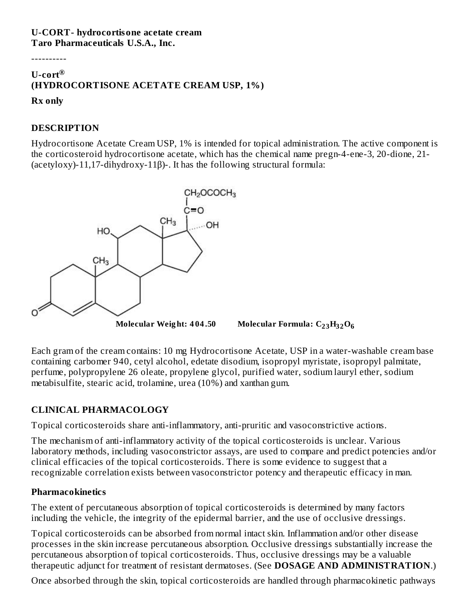#### **U-CORT- hydrocortisone acetate cream Taro Pharmaceuticals U.S.A., Inc.**

----------

## **U-cort ® (HYDROCORTISONE ACETATE CREAM USP, 1%)**

#### **Rx only**

## **DESCRIPTION**

Hydrocortisone Acetate Cream USP, 1% is intended for topical administration. The active component is the corticosteroid hydrocortisone acetate, which has the chemical name pregn-4-ene-3, 20-dione, 21- (acetyloxy)-11,17-dihydroxy-11β)-. It has the following structural formula:





Each gram of the cream contains: 10 mg Hydrocortisone Acetate, USP in a water-washable cream base containing carbomer 940, cetyl alcohol, edetate disodium, isopropyl myristate, isopropyl palmitate, perfume, polypropylene 26 oleate, propylene glycol, purified water, sodium lauryl ether, sodium metabisulfite, stearic acid, trolamine, urea (10%) and xanthan gum.

## **CLINICAL PHARMACOLOGY**

Topical corticosteroids share anti-inflammatory, anti-pruritic and vasoconstrictive actions.

The mechanism of anti-inflammatory activity of the topical corticosteroids is unclear. Various laboratory methods, including vasoconstrictor assays, are used to compare and predict potencies and/or clinical efficacies of the topical corticosteroids. There is some evidence to suggest that a recognizable correlation exists between vasoconstrictor potency and therapeutic efficacy in man.

## **Pharmacokinetics**

The extent of percutaneous absorption of topical corticosteroids is determined by many factors including the vehicle, the integrity of the epidermal barrier, and the use of occlusive dressings.

Topical corticosteroids can be absorbed from normal intact skin. Inflammation and/or other disease processes in the skin increase percutaneous absorption. Occlusive dressings substantially increase the percutaneous absorption of topical corticosteroids. Thus, occlusive dressings may be a valuable therapeutic adjunct for treatment of resistant dermatoses. (See **DOSAGE AND ADMINISTRATION**.)

Once absorbed through the skin, topical corticosteroids are handled through pharmacokinetic pathways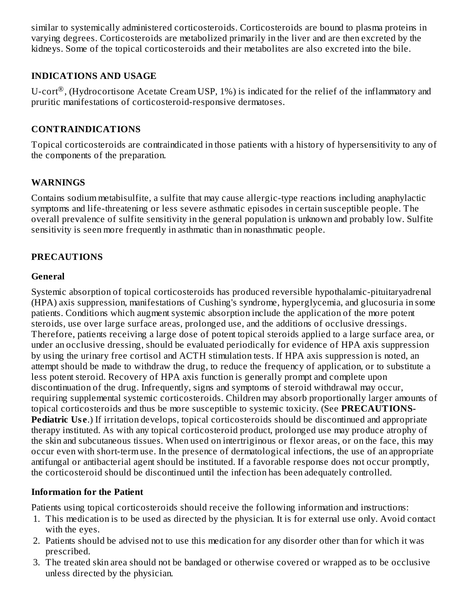similar to systemically administered corticosteroids. Corticosteroids are bound to plasma proteins in varying degrees. Corticosteroids are metabolized primarily in the liver and are then excreted by the kidneys. Some of the topical corticosteroids and their metabolites are also excreted into the bile.

## **INDICATIONS AND USAGE**

U-cort $^{\circledR}$ , (Hydrocortisone Acetate Cream USP, 1%) is indicated for the relief of the inflammatory and pruritic manifestations of corticosteroid-responsive dermatoses.

## **CONTRAINDICATIONS**

Topical corticosteroids are contraindicated in those patients with a history of hypersensitivity to any of the components of the preparation.

## **WARNINGS**

Contains sodium metabisulfite, a sulfite that may cause allergic-type reactions including anaphylactic symptoms and life-threatening or less severe asthmatic episodes in certain susceptible people. The overall prevalence of sulfite sensitivity in the general population is unknown and probably low. Sulfite sensitivity is seen more frequently in asthmatic than in nonasthmatic people.

## **PRECAUTIONS**

## **General**

Systemic absorption of topical corticosteroids has produced reversible hypothalamic-pituitaryadrenal (HPA) axis suppression, manifestations of Cushing's syndrome, hyperglycemia, and glucosuria in some patients. Conditions which augment systemic absorption include the application of the more potent steroids, use over large surface areas, prolonged use, and the additions of occlusive dressings. Therefore, patients receiving a large dose of potent topical steroids applied to a large surface area, or under an occlusive dressing, should be evaluated periodically for evidence of HPA axis suppression by using the urinary free cortisol and ACTH stimulation tests. If HPA axis suppression is noted, an attempt should be made to withdraw the drug, to reduce the frequency of application, or to substitute a less potent steroid. Recovery of HPA axis function is generally prompt and complete upon discontinuation of the drug. Infrequently, signs and symptoms of steroid withdrawal may occur, requiring supplemental systemic corticosteroids. Children may absorb proportionally larger amounts of topical corticosteroids and thus be more susceptible to systemic toxicity. (See **PRECAUTIONS-Pediatric Use.) If irritation develops, topical corticosteroids should be discontinued and appropriate** therapy instituted. As with any topical corticosteroid product, prolonged use may produce atrophy of the skin and subcutaneous tissues. When used on intertriginous or flexor areas, or on the face, this may occur even with short-term use. In the presence of dermatological infections, the use of an appropriate antifungal or antibacterial agent should be instituted. If a favorable response does not occur promptly, the corticosteroid should be discontinued until the infection has been adequately controlled.

## **Information for the Patient**

Patients using topical corticosteroids should receive the following information and instructions:

- 1. This medication is to be used as directed by the physician. It is for external use only. Avoid contact with the eyes.
- 2. Patients should be advised not to use this medication for any disorder other than for which it was prescribed.
- 3. The treated skin area should not be bandaged or otherwise covered or wrapped as to be occlusive unless directed by the physician.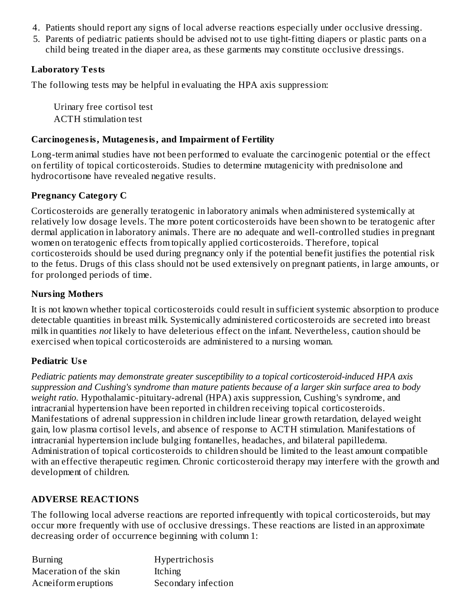- 4. Patients should report any signs of local adverse reactions especially under occlusive dressing.
- 5. Parents of pediatric patients should be advised not to use tight-fitting diapers or plastic pants on a child being treated in the diaper area, as these garments may constitute occlusive dressings.

#### **Laboratory Tests**

The following tests may be helpful in evaluating the HPA axis suppression:

Urinary free cortisol test ACTH stimulation test

#### **Carcinogenesis, Mutagenesis, and Impairment of Fertility**

Long-term animal studies have not been performed to evaluate the carcinogenic potential or the effect on fertility of topical corticosteroids. Studies to determine mutagenicity with prednisolone and hydrocortisone have revealed negative results.

## **Pregnancy Category C**

Corticosteroids are generally teratogenic in laboratory animals when administered systemically at relatively low dosage levels. The more potent corticosteroids have been shown to be teratogenic after dermal application in laboratory animals. There are no adequate and well-controlled studies in pregnant women on teratogenic effects from topically applied corticosteroids. Therefore, topical corticosteroids should be used during pregnancy only if the potential benefit justifies the potential risk to the fetus. Drugs of this class should not be used extensively on pregnant patients, in large amounts, or for prolonged periods of time.

## **Nursing Mothers**

It is not known whether topical corticosteroids could result in sufficient systemic absorption to produce detectable quantities in breast milk. Systemically administered corticosteroids are secreted into breast milk in quantities *not* likely to have deleterious effect on the infant. Nevertheless, caution should be exercised when topical corticosteroids are administered to a nursing woman.

## **Pediatric Us e**

*Pediatric patients may demonstrate greater susceptibility to a topical corticosteroid-induced HPA axis suppression and Cushing's syndrome than mature patients because of a larger skin surface area to body weight ratio.* Hypothalamic-pituitary-adrenal (HPA) axis suppression, Cushing's syndrome, and intracranial hypertension have been reported in children receiving topical corticosteroids. Manifestations of adrenal suppression in children include linear growth retardation, delayed weight gain, low plasma cortisol levels, and absence of response to ACTH stimulation. Manifestations of intracranial hypertension include bulging fontanelles, headaches, and bilateral papilledema. Administration of topical corticosteroids to children should be limited to the least amount compatible with an effective therapeutic regimen. Chronic corticosteroid therapy may interfere with the growth and development of children.

## **ADVERSE REACTIONS**

The following local adverse reactions are reported infrequently with topical corticosteroids, but may occur more frequently with use of occlusive dressings. These reactions are listed in an approximate decreasing order of occurrence beginning with column 1:

| <b>Burning</b>         | Hypertrichosis      |
|------------------------|---------------------|
| Maceration of the skin | <b>Itching</b>      |
| Acneiform eruptions    | Secondary infection |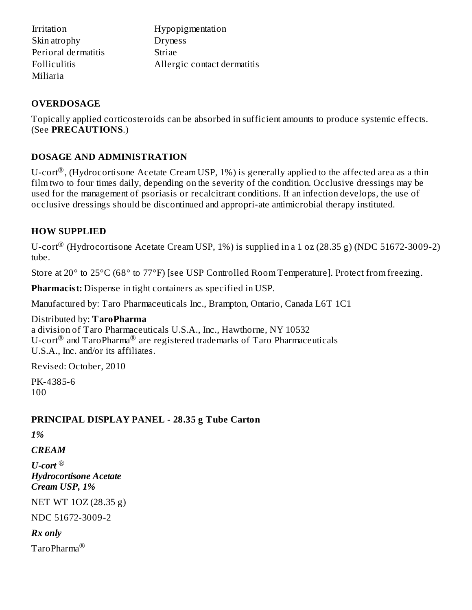| Irritation          | Hypopigmentation            |
|---------------------|-----------------------------|
| Skin atrophy        | <b>Dryness</b>              |
| Perioral dermatitis | Striae                      |
| Folliculitis        | Allergic contact dermatitis |
| Miliaria            |                             |

### **OVERDOSAGE**

Topically applied corticosteroids can be absorbed in sufficient amounts to produce systemic effects. (See **PRECAUTIONS**.)

#### **DOSAGE AND ADMINISTRATION**

U-cort $^\circledR$ , (Hydrocortisone Acetate Cream USP, 1%) is generally applied to the affected area as a thin film two to four times daily, depending on the severity of the condition. Occlusive dressings may be used for the management of psoriasis or recalcitrant conditions. If an infection develops, the use of occlusive dressings should be discontinued and appropri-ate antimicrobial therapy instituted.

#### **HOW SUPPLIED**

U-cort $^{\circledR}$  (Hydrocortisone Acetate Cream USP, 1%) is supplied in a 1 oz (28.35 g) (NDC 51672-3009-2) tube.

Store at 20° to 25°C (68° to 77°F) [see USP Controlled Room Temperature]. Protect from freezing.

**Pharmacist:** Dispense in tight containers as specified in USP.

Manufactured by: Taro Pharmaceuticals Inc., Brampton, Ontario, Canada L6T 1C1

#### Distributed by: **TaroPharma**

a division of Taro Pharmaceuticals U.S.A., Inc., Hawthorne, NY 10532 U-cort $^{\circledR}$  and TaroPharma $^{\circledR}$  are registered trademarks of Taro Pharmaceuticals U.S.A., Inc. and/or its affiliates.

Revised: October, 2010

PK-4385-6 100

#### **PRINCIPAL DISPLAY PANEL - 28.35 g Tube Carton**

*1%*

*CREAM*

*U-cort* ® *Hydrocortisone Acetate Cream USP, 1%*

NET WT 1OZ (28.35 g)

NDC 51672-3009-2

## *Rx only*

Taro Pharma<sup>®</sup>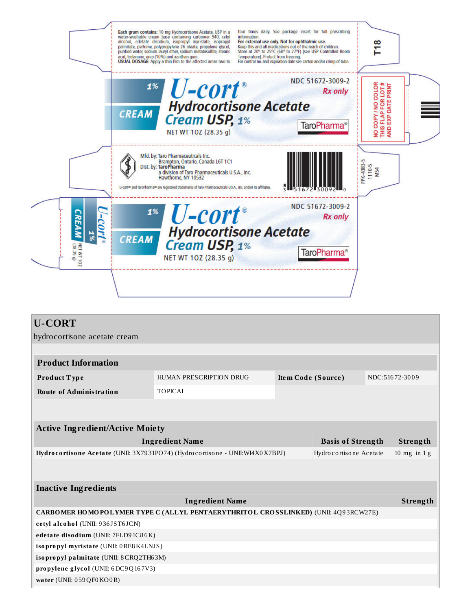

| <b>U-CORT</b>                                                                                          |                         |                    |  |  |                |  |
|--------------------------------------------------------------------------------------------------------|-------------------------|--------------------|--|--|----------------|--|
| hydrocortisone acetate cream                                                                           |                         |                    |  |  |                |  |
|                                                                                                        |                         |                    |  |  |                |  |
| <b>Product Information</b>                                                                             |                         |                    |  |  |                |  |
| Product Type                                                                                           | HUMAN PRESCRIPTION DRUG | Item Code (Source) |  |  | NDC:51672-3009 |  |
| <b>Route of Administration</b>                                                                         | <b>TOPICAL</b>          |                    |  |  |                |  |
|                                                                                                        |                         |                    |  |  |                |  |
|                                                                                                        |                         |                    |  |  |                |  |
| <b>Active Ingredient/Active Moiety</b>                                                                 |                         |                    |  |  |                |  |
| <b>Ingredient Name</b><br><b>Basis of Strength</b>                                                     |                         |                    |  |  | Strength       |  |
| Hydrocortisone Acetate (UNII: 3X7931PO74) (Hydrocortisone - UNII:WI4X0X7BPJ)<br>Hydrocortisone Acetate |                         |                    |  |  | 10 mg in $1 g$ |  |
|                                                                                                        |                         |                    |  |  |                |  |
|                                                                                                        |                         |                    |  |  |                |  |
| <b>Inactive Ingredients</b>                                                                            |                         |                    |  |  | Strength       |  |
| <b>Ingredient Name</b>                                                                                 |                         |                    |  |  |                |  |
| CARBOMER HOMOPOLYMER TYPE C (ALLYL PENTAERYTHRITOL CROSSLINKED) (UNII: 4Q93RCW27E)                     |                         |                    |  |  |                |  |
| cetyl alcohol (UNII: 936JST6JCN)                                                                       |                         |                    |  |  |                |  |
| edetate disodium (UNII: 7FLD9 1C86K)                                                                   |                         |                    |  |  |                |  |
| isopropyl myristate (UNII: 0RE8K4LNJS)                                                                 |                         |                    |  |  |                |  |
| isopropyl palmitate (UNII: 8CRQ2TH63M)                                                                 |                         |                    |  |  |                |  |
| propylene glycol (UNII: 6DC9Q167V3)                                                                    |                         |                    |  |  |                |  |
| water (UNII: 059QF0KO0R)                                                                               |                         |                    |  |  |                |  |